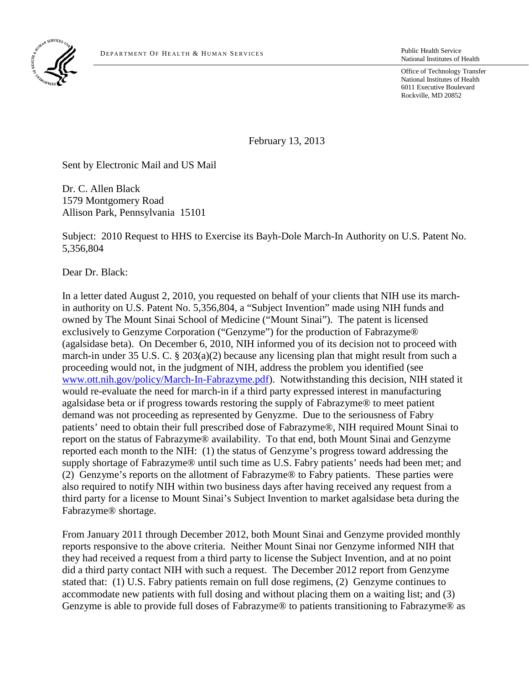

Public Health Service National Institutes of Health

Office of Technology Transfer National Institutes of Health 6011 Executive Boulevard Rockville, MD 20852

February 13, 2013

Sent by Electronic Mail and US Mail

Dr. C. Allen Black 1579 Montgomery Road Allison Park, Pennsylvania 15101

Subject: 2010 Request to HHS to Exercise its Bayh-Dole March-In Authority on U.S. Patent No. 5,356,804

Dear Dr. Black:

In a letter dated August 2, 2010, you requested on behalf of your clients that NIH use its marchin authority on U.S. Patent No. 5,356,804, a "Subject Invention" made using NIH funds and owned by The Mount Sinai School of Medicine ("Mount Sinai"). The patent is licensed exclusively to Genzyme Corporation ("Genzyme") for the production of Fabrazyme® (agalsidase beta). On December 6, 2010, NIH informed you of its decision not to proceed with march-in under 35 U.S. C. § 203(a)(2) because any licensing plan that might result from such a proceeding would not, in the judgment of NIH, address the problem you identified (see [www.ott.nih.gov/policy/March-In-Fabrazyme.pdf\)](http://www.ott.nih.gov/policy/March-In-Fabrazyme.pdf). Notwithstanding this decision, NIH stated it would re-evaluate the need for march-in if a third party expressed interest in manufacturing agalsidase beta or if progress towards restoring the supply of Fabrazyme® to meet patient demand was not proceeding as represented by Genyzme. Due to the seriousness of Fabry patients' need to obtain their full prescribed dose of Fabrazyme®, NIH required Mount Sinai to report on the status of Fabrazyme® availability. To that end, both Mount Sinai and Genzyme reported each month to the NIH: (1) the status of Genzyme's progress toward addressing the supply shortage of Fabrazyme® until such time as U.S. Fabry patients' needs had been met; and (2) Genzyme's reports on the allotment of Fabrazyme® to Fabry patients. These parties were also required to notify NIH within two business days after having received any request from a third party for a license to Mount Sinai's Subject Invention to market agalsidase beta during the Fabrazyme® shortage.

From January 2011 through December 2012, both Mount Sinai and Genzyme provided monthly reports responsive to the above criteria. Neither Mount Sinai nor Genzyme informed NIH that they had received a request from a third party to license the Subject Invention, and at no point did a third party contact NIH with such a request. The December 2012 report from Genzyme stated that: (1) U.S. Fabry patients remain on full dose regimens, (2) Genzyme continues to accommodate new patients with full dosing and without placing them on a waiting list; and (3) Genzyme is able to provide full doses of Fabrazyme® to patients transitioning to Fabrazyme® as